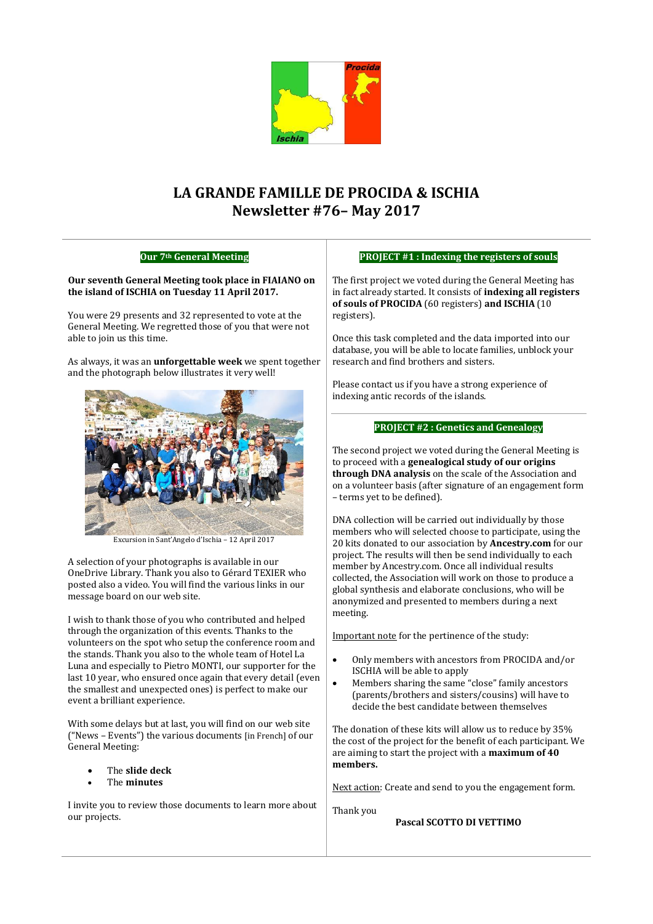

# **LA GRANDE FAMILLE DE PROCIDA & ISCHIA Newsletter #76– May 2017**

# **Our 7th General Meeting**

#### **Our seventh General Meeting took place in FIAIANO on the island of ISCHIA on Tuesday 11 April 2017.**

You were 29 presents and 32 represented to vote at the General Meeting. We regretted those of you that were not able to join us this time.

As always, it was an **unforgettable week** we spent together and the photograph below illustrates it very well!



Excursion in Sant'Angelo d'Ischia – 12 April 2017

A selection of your photographs is available in our OneDrive Library. Thank you also to Gérard TEXIER who posted also a video. You will find the various links in our message board on our web site.

I wish to thank those of you who contributed and helped through the organization of this events. Thanks to the volunteers on the spot who setup the conference room and the stands. Thank you also to the whole team of Hotel La Luna and especially to Pietro MONTI, our supporter for the last 10 year, who ensured once again that every detail (even the smallest and unexpected ones) is perfect to make our event a brilliant experience.

With some delays but at last, you will find on our web site ("News – Events") the various documents [in French] of our General Meeting:

- The **slide deck**
- The **minutes**

I invite you to review those documents to learn more about our projects.

#### **PROJECT #1 : Indexing the registers of souls**

The first project we voted during the General Meeting has in fact already started. It consists of **indexing all registers of souls of PROCIDA** (60 registers) **and ISCHIA** (10 registers).

Once this task completed and the data imported into our database, you will be able to locate families, unblock your research and find brothers and sisters.

Please contact us if you have a strong experience of indexing antic records of the islands.

#### **PROJECT #2 : Genetics and Genealogy**

The second project we voted during the General Meeting is to proceed with a **genealogical study of our origins through DNA analysis** on the scale of the Association and on a volunteer basis (after signature of an engagement form – terms yet to be defined).

DNA collection will be carried out individually by those members who will selected choose to participate, using the 20 kits donated to our association by **Ancestry.com** for our project. The results will then be send individually to each member by Ancestry.com. Once all individual results collected, the Association will work on those to produce a global synthesis and elaborate conclusions, who will be anonymized and presented to members during a next meeting.

Important note for the pertinence of the study:

- Only members with ancestors from PROCIDA and/or ISCHIA will be able to apply
- Members sharing the same "close" family ancestors (parents/brothers and sisters/cousins) will have to decide the best candidate between themselves

The donation of these kits will allow us to reduce by 35% the cost of the project for the benefit of each participant. We are aiming to start the project with a **maximum of 40 members.** 

Next action: Create and send to you the engagement form.

Thank you

## **Pascal SCOTTO DI VETTIMO**